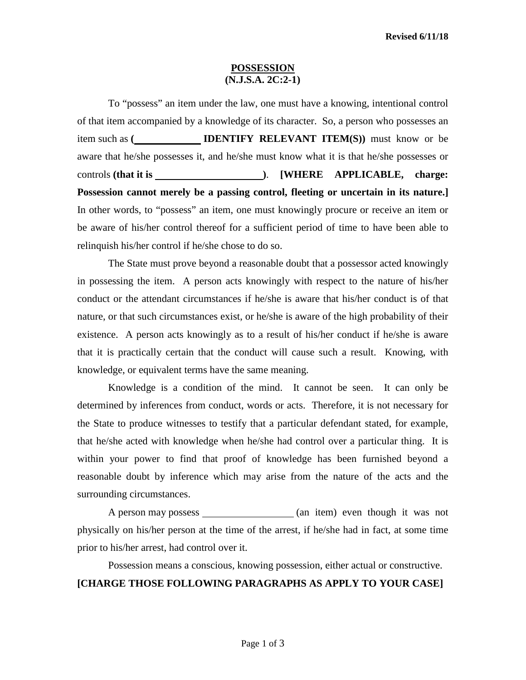#### **POSSESSION (N.J.S.A. 2C:2-1)**

To "possess" an item under the law, one must have a knowing, intentional control of that item accompanied by a knowledge of its character. So, a person who possesses an item such as **( IDENTIFY RELEVANT ITEM(S))** must know or be aware that he/she possesses it, and he/she must know what it is that he/she possesses or controls **(that it is )**. **[WHERE APPLICABLE, charge: Possession cannot merely be a passing control, fleeting or uncertain in its nature.]** In other words, to "possess" an item, one must knowingly procure or receive an item or be aware of his/her control thereof for a sufficient period of time to have been able to relinquish his/her control if he/she chose to do so.

The State must prove beyond a reasonable doubt that a possessor acted knowingly in possessing the item. A person acts knowingly with respect to the nature of his/her conduct or the attendant circumstances if he/she is aware that his/her conduct is of that nature, or that such circumstances exist, or he/she is aware of the high probability of their existence. A person acts knowingly as to a result of his/her conduct if he/she is aware that it is practically certain that the conduct will cause such a result. Knowing, with knowledge, or equivalent terms have the same meaning.

Knowledge is a condition of the mind. It cannot be seen. It can only be determined by inferences from conduct, words or acts. Therefore, it is not necessary for the State to produce witnesses to testify that a particular defendant stated, for example, that he/she acted with knowledge when he/she had control over a particular thing. It is within your power to find that proof of knowledge has been furnished beyond a reasonable doubt by inference which may arise from the nature of the acts and the surrounding circumstances.

A person may possess (an item) even though it was not physically on his/her person at the time of the arrest, if he/she had in fact, at some time prior to his/her arrest, had control over it.

# Possession means a conscious, knowing possession, either actual or constructive. **[CHARGE THOSE FOLLOWING PARAGRAPHS AS APPLY TO YOUR CASE]**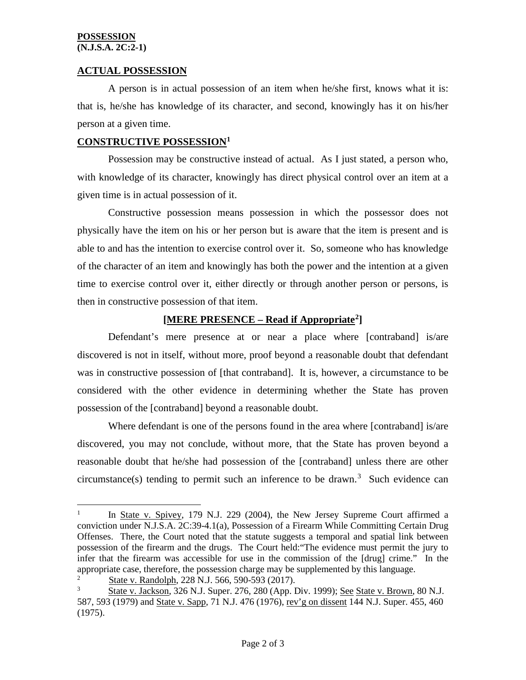#### **POSSESSION (N.J.S.A. 2C:2-1)**

# **ACTUAL POSSESSION**

A person is in actual possession of an item when he/she first, knows what it is: that is, he/she has knowledge of its character, and second, knowingly has it on his/her person at a given time.

## **CONSTRUCTIVE POSSESSION[1](#page-1-0)**

Possession may be constructive instead of actual. As I just stated, a person who, with knowledge of its character, knowingly has direct physical control over an item at a given time is in actual possession of it.

Constructive possession means possession in which the possessor does not physically have the item on his or her person but is aware that the item is present and is able to and has the intention to exercise control over it. So, someone who has knowledge of the character of an item and knowingly has both the power and the intention at a given time to exercise control over it, either directly or through another person or persons, is then in constructive possession of that item.

# **[MERE PRESENCE – Read if Appropriate[2\]](#page-1-1)**

Defendant's mere presence at or near a place where [contraband] is/are discovered is not in itself, without more, proof beyond a reasonable doubt that defendant was in constructive possession of [that contraband]. It is, however, a circumstance to be considered with the other evidence in determining whether the State has proven possession of the [contraband] beyond a reasonable doubt.

Where defendant is one of the persons found in the area where [contraband] is/are discovered, you may not conclude, without more, that the State has proven beyond a reasonable doubt that he/she had possession of the [contraband] unless there are other circumstance(s) tending to permit such an inference to be drawn.<sup>[3](#page-1-2)</sup> Such evidence can

<span id="page-1-0"></span><sup>&</sup>lt;sup>1</sup> In <u>State v. Spivey</u>, 179 N.J. 229 (2004), the New Jersey Supreme Court affirmed a conviction under N.J.S.A. 2C:39-4.1(a), Possession of a Firearm While Committing Certain Drug Offenses. There, the Court noted that the statute suggests a temporal and spatial link between possession of the firearm and the drugs. The Court held:"The evidence must permit the jury to infer that the firearm was accessible for use in the commission of the [drug] crime." In the appropriate case, therefore, the possession charge may be supplemented by this language.

<span id="page-1-2"></span><span id="page-1-1"></span><sup>2</sup>  $\frac{2}{3}$  State v. Randolph, 228 N.J. 566, 590-593 (2017).<br>State v. Jackson, 326 N.J. Super, 276, 280 (App. I

<sup>3</sup> State v. Jackson, 326 N.J. Super. 276, 280 (App. Div. 1999); See State v. Brown, 80 N.J. 587, 593 (1979) and State v. Sapp, 71 N.J. 476 (1976), rev'g on dissent 144 N.J. Super. 455, 460 (1975).